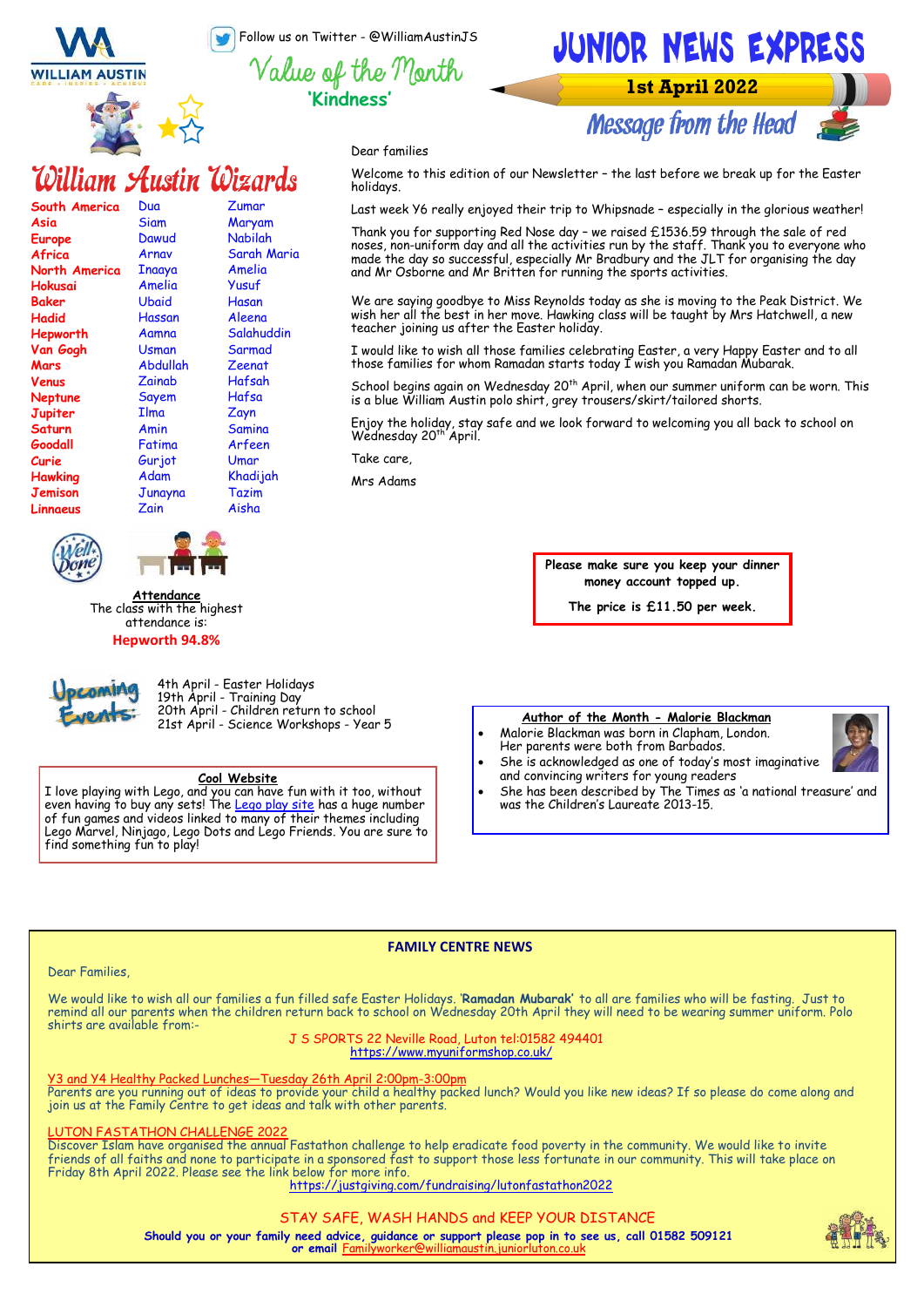Follow us on Twitter - @WilliamAustinJS

**'Kindness'**





# William Austin Wizards

| South America  | Dua         | Zumar         |
|----------------|-------------|---------------|
| Asia           | Siam        | Maryam        |
| <b>Europe</b>  | Dawud       | Nabilah       |
| Africa         | Arnav       | Sarah Maria   |
| North America  | Inaaya      | Amelia        |
| Hokusai        | Amelia      | Yusuf         |
| Baker          | Ubaid       | Hasan         |
| Hadid          | Hassan      | Aleena        |
| Hepworth       | Aamna       | Salahuddin    |
| Van Gogh       | Usman       | Sarmad        |
| Mars           | Abdullah    | Zeenat        |
| Venus          | Zainab      | Hafsah        |
| Neptune        | Sayem       | Hafsa         |
| Jupiter        | <b>Ilma</b> | Zayn          |
| <b>Saturn</b>  | Amin        | <b>Samina</b> |
| Goodall        | Fatima      | Arfeen        |
| Curie          | Gurjot      | Umar          |
| <b>Hawking</b> | Adam        | Khadijah      |
| <b>Jemison</b> | Junayna     | Tazim         |
| Linnaeus       | Zain        | Aisha         |
|                |             |               |





**Attendance** The class with the highest attendance is:

### **Hepworth 94.8%**



4th April - Easter Holidays 19th April - Training Day 20th April - Children return to school 21st April - Science Workshops - Year 5

### **Cool Website**

I love playing with Lego, and you can have fun with it too, without even having to buy any sets! The <u>Lego play site</u> has a huge number of fun games and videos linked to many of their themes including Lego Marvel, Ninjago, Lego Dots and Lego Friends. You are sure to find something fun to play!

JUNIOR NEWS EXPRESS **1st April 2022 Message from the Head** 

Dear families

Welcome to this edition of our Newsletter – the last before we break up for the Easter holidays.

Last week Y6 really enjoyed their trip to Whipsnade – especially in the glorious weather!

Thank you for supporting Red Nose day – we raised £1536.59 through the sale of red noses, non-uniform day and all the activities run by the staff. Thank you to everyone who made the day so successful, especially Mr Bradbury and the JLT for organising the day and Mr Osborne and Mr Britten for running the sports activities.

We are saying goodbye to Miss Reynolds today as she is moving to the Peak District. We wish her all the best in her move. Hawking class will be taught by Mrs Hatchwell, a new teacher joining us after the Easter holiday.

I would like to wish all those families celebrating Easter, a very Happy Easter and to all those families for whom Ramadan starts today I wish you Ramadan Mubarak.

School begins again on Wednesday 20<sup>th</sup> April, when our summer uniform can be worn. This is a blue William Austin polo shirt, grey trousers/skirt/tailored shorts.

Enjoy the holiday, stay safe and we look forward to welcoming you all back to school on<br>Wednesday 20<sup>th</sup> April.

Take care,

Mrs Adams

**Please make sure you keep your dinner money account topped up.** 

**The price is £11.50 per week.**

### **Author of the Month - Malorie Blackman**

- Malorie Blackman was born in Clapham, London. Her parents were both from Barbados.
- She is acknowledged as one of today's most imaginative and convincing writers for young readers
- She has been described by The Times as 'a national treasure' and was the Children's Laureate 2013-15.

### **FAMILY CENTRE NEWS**

### Dear Families,

We would like to wish all our families a fun filled safe Easter Holidays. '**Ramadan Mubarak'** to all are families who will be fasting. Just to remind all our parents when the children return back to school on Wednesday 20th April they will need to be wearing summer uniform. Polo shirts are available from:-

J S SPORTS 22 Neville Road, Luton tel:01582 494401 [https://www.myuniformshop.co.uk/](https://www.myuniformshop.co.uk/product-category/schoolwear/william-austin-junior/)

### and Y4 Healthy Packed Lunches-Tuesday 26th April 2:00pm-3:00pm

Parents are you running out of ideas to provide your child a healthy packed lunch? Would you like new ideas? If so please do come along and join us at the Family Centre to get ideas and talk with other parents.

### **JTON FASTATHON CHALLENGE 2022**

Discover Islam have organised the annual Fastathon challenge to help eradicate food poverty in the community. We would like to invite friends of all faiths and none to participate in a sponsored fast to support those less fortunate in our community. This will take place on Friday 8th April 2022. Please see the link below for more info.

<https://justgiving.com/fundraising/lutonfastathon2022>

### STAY SAFE, WASH HANDS and KEEP YOUR DISTANCE

**Should you or your family need advice, guidance or support please pop in to see us, call 01582 509121 or email** Fo

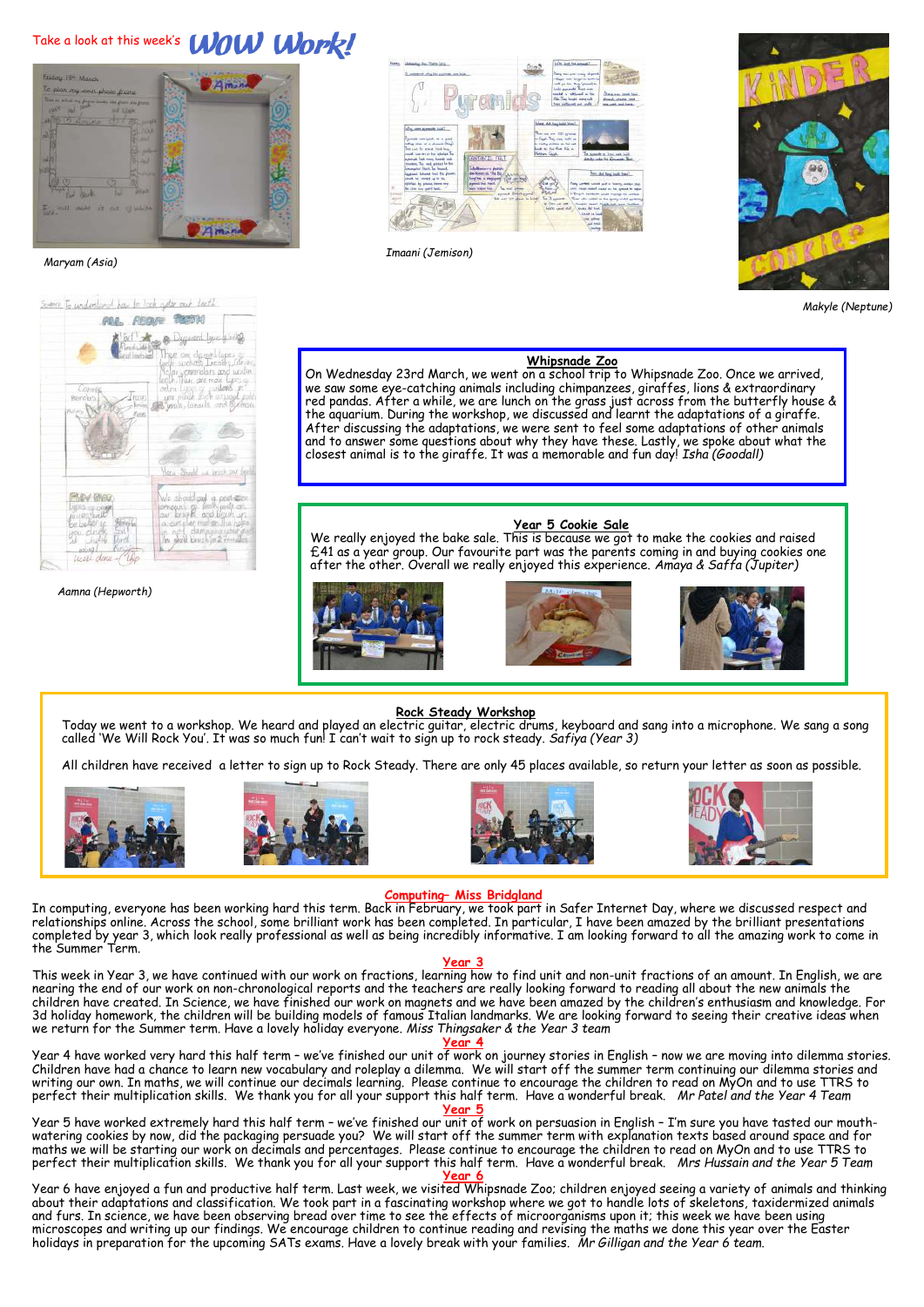## Take a look at this week's **WOW Work!**



 *Maryam (Asia)*



*Aamna (Hepworth)*



*Imaani (Jemison)*



*Makyle (Neptune)*

### **Whipsnade Zoo**

On Wednesday 23rd March, we went on a school trip to Whipsnade Zoo. Once we arrived, we saw some eye-catching animals including chimpanzees, giraffes, lions & extraordinary red pandas. After a while, we are lunch on the grass just across from the butterfly house & the aquarium. During the workshop, we discussed and learnt the adaptations of a giraffe. After discussing the adaptations, we were sent to feel some adaptations of other animals and to answer some questions about why they have these. Lastly, we spoke about what the closest animal is to the giraffe. It was a memorable and fun day! *Isha (Goodall)*

### **Year 5 Cookie Sale**

£41 as a year group. Our favourite part was the parents coming in and buying cookies one after the other. Overall we really enjoyed this experience. *Amaya & Saffa (Jupiter)*







### **Rock Steady Workshop**

Today we went to a workshop. We heard and played an electric guitar, electric drums, keyboard and sang into a microphone. We sang a song called 'We Will Rock You'. It was so much fun! I can't wait to sign up to rock steady. *Safiya (Year 3)*

All children have received a letter to sign up to Rock Steady. There are only 45 places available, so return your letter as soon as possible.









### **Computing– Miss Bridgland**

In computing, everyone has been working hard this term. Back in February, we took part in Safer Internet Day, where we discussed respect and relationships online. Across the school, some brilliant work has been completed. In particular, I have been amazed by the brilliant presentations completed by year 3, which look really professional as well as being incredibly informative. I am looking forward to all the amazing work to come in the Summer Term.

### **Year 3**

This week in Year 3, we have continued with our work on fractions, learning how to find unit and non-unit fractions of an amount. In English, we are nearing the end of our work on non-chronological reports and the teachers are really looking forward to reading all about the new animals the children have created. In Science, we have finished our work on magnets and we have been amazed by the children's enthusiasm and knowledge. For 3d holiday homework, the children will be building models of famous Italian landmarks. We are looking forward to seeing their creative ideas when we return for the Summer term. Have a lovely holiday everyone. *Miss Thingsaker & the Year 3 team*

**Year 4**

Year 4 have worked very hard this half term – we've finished our unit of work on journey stories in English – now we are moving into dilemma stories. Children have had a chance to learn new vocabulary and roleplay a dilemma. We will start off the summer term continuing our dilemma stories and writing our own. In maths, we will continue our decimals learning. Please continue to encourage the children to read on MyOn and to use TTRS to perfect their multiplication skills. We thank you for all your support this half term. Have a wonderful break. *Mr Patel and the Year 4 Team*

**Year 5** Year 5 have worked extremely hard this half term – we've finished our unit of work on persuasion in English – I'm sure you have tasted our mouthwatering cookies by now, did the packaging persuade you? We will start off the summer term with explanation texts based around space and for maths we will be starting our work on decimals and percentages. Please continue to encourage the children to read on MyOn and to use TTRS to perfect their multiplication skills. We thank you for all your support this half term. Have a wonderful break. *Mrs Hussain and the Year 5 Team* **Year 6**

Year 6 have enjoyed a fun and productive half term. Last week, we visited Whipsnade Zoo; children enjoyed seeing a variety of animals and thinking about their adaptations and classification. We took part in a fascinating workshop where we got to handle lots of skeletons, taxidermized animals and furs. In science, we have been observing bread over time to see the effects of microorganisms upon it; this week we have been using microscopes and writing up our findings. We encourage children to continue reading and revising the maths we done this year over the Easter holidays in preparation for the upcoming SATs exams. Have a lovely break with your families. *Mr Gilligan and the Year 6 team.* 

We really enjoyed the bake sale. This is because we got to make the cookies and raised